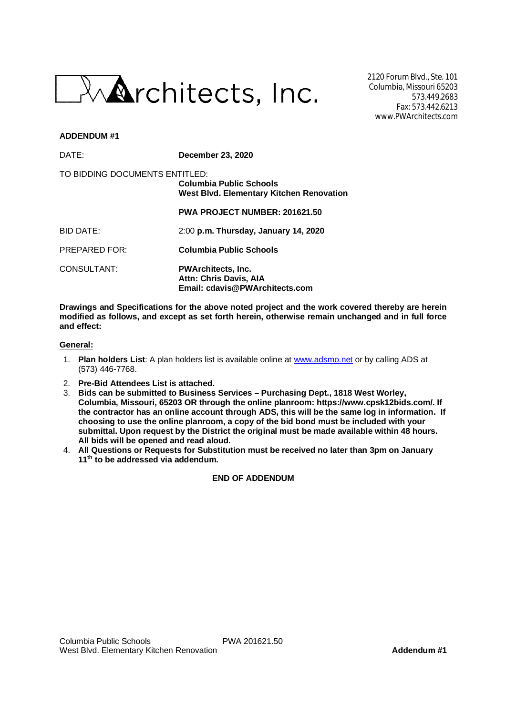

2120 Forum Blvd., Ste. 101 Columbia, Missouri 65203 573.449.2683 Fax: 573.442.6213 www.PWArchitects.com

#### **ADDENDUM #1**

| DATE:                          | December 23, 2020                                                                     |  |  |
|--------------------------------|---------------------------------------------------------------------------------------|--|--|
| TO BIDDING DOCUMENTS ENTITLED: | Columbia Public Schools<br>West Blvd. Elementary Kitchen Renovation                   |  |  |
|                                | <b>PWA PROJECT NUMBER: 201621.50</b>                                                  |  |  |
| BID DATE:                      | 2:00 p.m. Thursday, January 14, 2020                                                  |  |  |
| <b>PREPARED FOR:</b>           | <b>Columbia Public Schools</b>                                                        |  |  |
| CONSULTANT:                    | <b>PWArchitects, Inc.</b><br>Attn: Chris Davis, AIA<br>Email: cdavis@PWArchitects.com |  |  |

**Drawings and Specifications for the above noted project and the work covered thereby are herein modified as follows, and except as set forth herein, otherwise remain unchanged and in full force and effect:**

#### **General:**

- 1. **Plan holders List**: A plan holders list is available online at www.adsmo.net or by calling ADS at (573) 446-7768.
- 2. **Pre-Bid Attendees List is attached.**
- 3. **Bids can be submitted to Business Services Purchasing Dept., 1818 West Worley, Columbia, Missouri, 65203 OR through the online planroom: https://www.cpsk12bids.com/. If the contractor has an online account through ADS, this will be the same log in information. If choosing to use the online planroom, a copy of the bid bond must be included with your submittal. Upon request by the District the original must be made available within 48 hours. All bids will be opened and read aloud.**
- 4. **All Questions or Requests for Substitution must be received no later than 3pm on January 11th to be addressed via addendum.**

### **END OF ADDENDUM**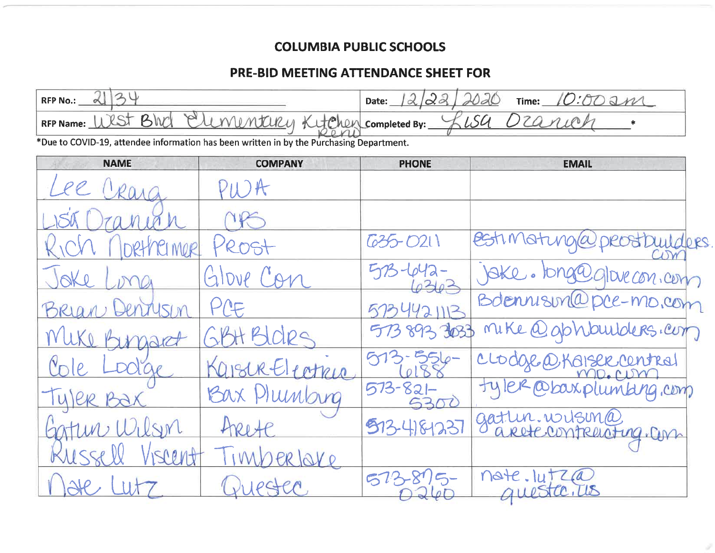### **COLUMBIA PUBLIC SCHOOLS**

### PRE-BID MEETING ATTENDANCE SHEET FOR

| 34<br><b>RFP No.:</b><br>∝                                                               |                | 2/22<br>Date:         | sac<br>10:00 am<br>Time: |  |  |  |  |
|------------------------------------------------------------------------------------------|----------------|-----------------------|--------------------------|--|--|--|--|
| Bhd<br>Elementery Kytchen completed By:<br>RFP Name: WST                                 |                | LSU<br>2010           |                          |  |  |  |  |
| *Due to COVID-19, attendee information has been written in by the Purchasing Department. |                |                       |                          |  |  |  |  |
| <b>NAME</b>                                                                              | <b>COMPANY</b> | <b>PHONE</b>          | <b>EMAIL</b>             |  |  |  |  |
|                                                                                          |                |                       |                          |  |  |  |  |
|                                                                                          |                |                       |                          |  |  |  |  |
| MOR                                                                                      | ROST           | 635-0211              | estimaturgía<br>Iders    |  |  |  |  |
|                                                                                          | Glove Con      |                       | ike. tong@glovecon.com   |  |  |  |  |
|                                                                                          | PCE            | 44211                 | Bdennison@pce-mo.com     |  |  |  |  |
|                                                                                          | H Bloire       | 5738933033            | mike @gbhbuilders.com    |  |  |  |  |
|                                                                                          | ISURELIATRIA   |                       | CLOdge @Kaisek contral   |  |  |  |  |
|                                                                                          | Bax Plunbing   | $573 - 821 -$<br>5300 | Ter @baxplumbing, comp   |  |  |  |  |
|                                                                                          |                | 513-418-123           | gatten. witsin@          |  |  |  |  |
|                                                                                          | erlove         |                       |                          |  |  |  |  |
|                                                                                          |                |                       | note. lutza              |  |  |  |  |